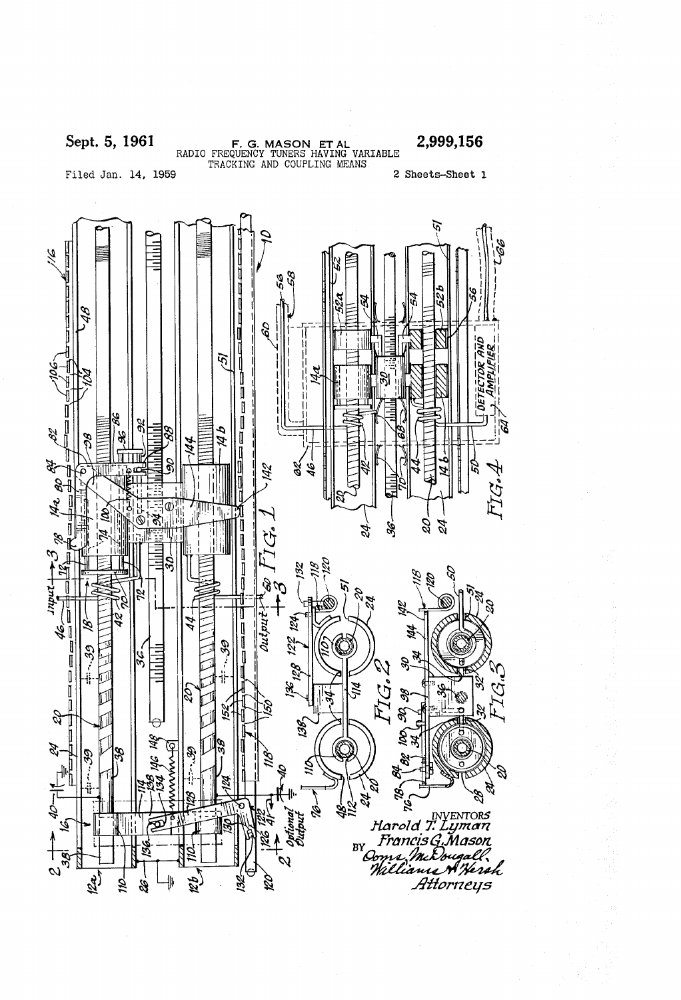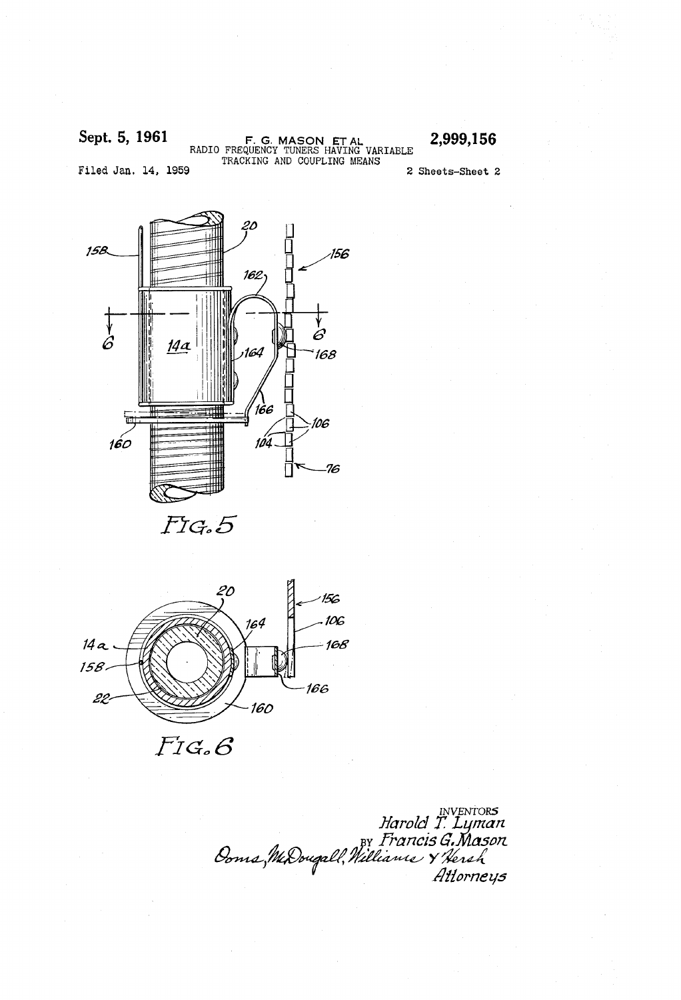Sept. 5, 1961 F. G. MASON ET AL 2,999,156<br>RADIO FREQUENCY TUNERS HAVING VARIABLE TRACKING AND COUPLING MEANS

Filed Jan. 14, 1959 2 Sheets-Sheet 2

20 / /56 15B 762  $\overrightarrow{6}$  $\overrightarrow{6}$  $14a$ 164 /68 166 /06  $160$ 104 76

FIG.5



 $F$ I $G$ . $G$ 

INVENTORS<br>Harold T. Lyman<br>Ooms, MaDougall, Millianie Y'hersh<br>Attorneys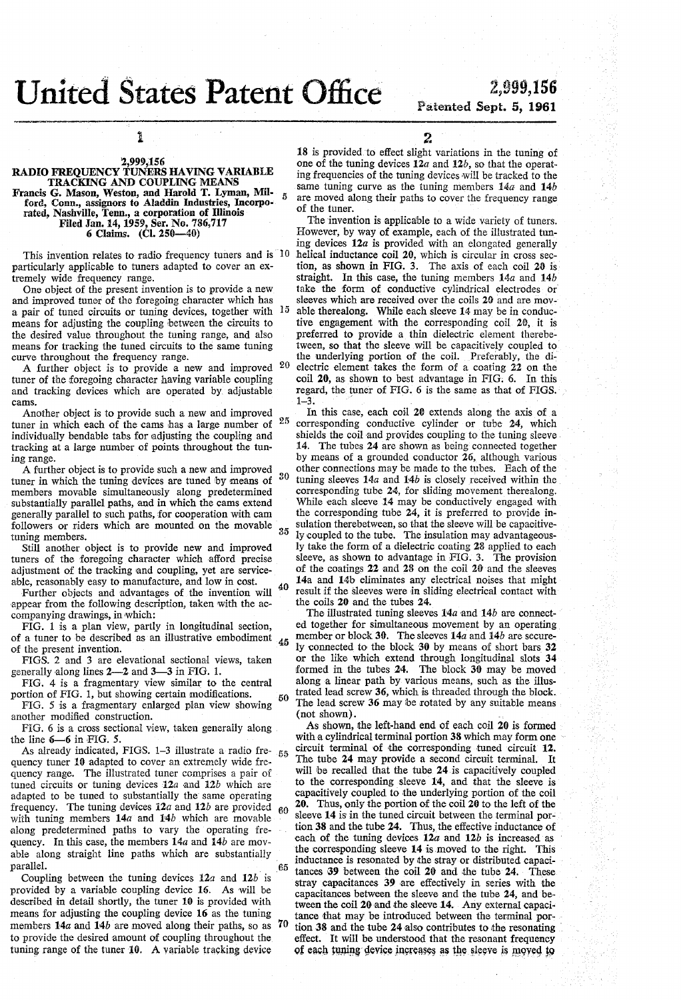## United States Patent Office

# $2,999,156$ <br>Patented Sept. 5, 1961

### l

#### RADIO FREQUENCY TUNERS HAVING VARIABLE TRACKING AND COUPLING MEANS Francis G. Mason, Weston, and Harold T. Lyman, Mil ford, Conn., assignors to Aladdin Industries, Incorpo rated, Nashville, Tenn., a corporation of Illinois Filed Jan. 14, 1959, Ser. No. 786,717 6 Claims. (Cl. Z50-40) 5

This invention relates to radio frequency tuners and is 10 particularly applicable to tuners adapted to cover an ex tremely wide frequency range.

One object of the present invention is to provide a new and improved tuner of the foregoing character which has means for adjusting the coupling between the circuits to the desired value throughout the tuning range, and also means for tracking the tuned circuits to the same tuning curve throughout the frequency range. a pair of tuned circuits or tuning devices, together with 15

A further object is to provide a new and improved  $20$ tuner of the foregoing character having variable coupling and tracking devices which are operated by adjustable cams.

Another object is to provide such a new and improved tuner in which each of the cams has a large number of individually bendable tabs for adjusting the coupling and tracking at a large number of points throughout the tun ing range.

A further object is to provide such a new and improved 20 tuner in which the tuning devices are tuned by means of members movable simultaneously along predetermined substantially parallel paths, and in which the cams extend generally parallel to such paths, for cooperation with cam followers or riders which are mounted on the movable tuning members.

Still another object is to provide new and improved tuners of the foregoing character which afford precise adjustment of the tracking and coupling, yet are serviceable, reasonably easy to manufacture, and low in cost.

»Further objects and advantages of the invention will appear from the following description, taken with the ac companying drawings, in which:

40

50

70

FIG. l is a plan view, partly in longitudinal section, of a tuner to be described as an illustrative embodiment  $45$ of the present invention.

FIGS. 2 and 3 are elevational sectional views, taken generally along lines 2\_2 and 3\_3 in FIG. l.

FIG. 4 is a fragmentary view similar to the central portion of FIG. l, but showing certain modifications. FIG. 5 is a fragmentary enlarged plan view showing

another modified construction.

FIG. 6 is a cross sectional view, taken generally along the line  $6-6$  in FIG. 5.

As already indicated, FIGS.  $1-3$  illustrate a radio fre- $55$ quency tuner 10 adapted to cover an extremely wide frequency range. The illustrated tuner comprises a pair of tuned circuits or tuning devices  $12a$  and  $12b$  which are adapted to be tuned to substantially the same operating frequency. The tuning devices  $12a$  and  $12b$  are provided with tuning members  $14a$  and  $14b$  which are movable along predetermined paths to vary the operating frequency. In this case, the members  $14a$  and  $14b$  are movable along straight line paths which are substantially parallel.

Coupling between the tuning devices 12a and 12b is provided by a variable coupling device 16. As will be described in detail shortly, the tuner 10 is provided with means for adjusting the coupling device 16 as the tuning members  $14a$  and  $14b$  are moved along their paths, so as to provide the desired amount of coupling throughout the tuning range of the tuner 10. A variable tracking device

2<br>18 is provided to effect slight variations in the tuning of one of the tuning devices  $12a$  and  $12b$ , so that the operating frequencies of the tuning devices will be tracked to the same tuning curve as the tuning members  $14a$  and  $14b$ are moved along their paths to cover the frequency range of the tuner.

The invention is applicable to a wide variety of tuners. However, by way of example, each of the illustrated tun ing devices 12a is provided with an elongated generally helical inductance coil 20, which is circular in cross section, as shown in FIG. 3. The axis of each coil 20 is straight. In this case, the tuning members  $14a$  and  $14b$ take the form of conductive cylindrical electrodes or sleeves which are received over the coils 20 and are movable therealong. While each sleeve 14 may be in conduc tive engagement with the corresponding coil 20, it is preferred to provide a thin dielectric element therebe tween, so that the sleeve will be capacitively coupled to the underlying portion of the coil. Preferably, the di electric element takes the form of a coating 22 on the coil 20, as shown to best advantage in FIG. 6. In this regard, the tuner of FIG. 6 is the same as that of FIGS.  $1-3$ .

25 35 In this case, each coil 20 extends along the axis of a corresponding conductive cylinder or tube 24, which shields the coil and provides coupling to the tuning sleeve I4. The tubes 24 are shown as being connected together by means of a grounded conductor 26, although various other connections may be made to the tubes. Each of the tuning sleeves  $14a$  and  $14b$  is closely received within the corresponding tube 24, for sliding movement therealong. While each sleeve 14 may be conductively engaged with the corresponding tube 24, it is preferred to provide in sulation therebetween, so that the sleeve will be capacitive ly coupled to the tube. The insulation may advantageous ly take the form of a dielectric coating 28 applied to each sleeve, as shown to advantage in FIG. 3. The provision of the coatings 22 and 23 on the coil 20 and the sleeves 14a and 14h eliminates any electrical noises that might result if the sleeves were in sliding electrical contact with the coils 20 and the tubes 24.

The illustrated tuning sleeves  $14a$  and  $14b$  are connected together for simultaneous movement by an operating member or block 30. The sleeves  $14a$  and  $14b$  are securely connected to the block 30 by means of short bars 32 or the like which extend through longitudinal slots 34 formed in the tubes  $24$ . The block  $30$  may be moved along a linear path by various means, such as the illus trated lead screw 36, which is threaded through the block. The lead screw 36 may be rotated by any suitable means (not shown).

60  $\Delta s$  shown, the left-hand end of each coil 20 is formed with a cylindrical terminal portion 38 which may form one circuit terminal of the corresponding tuned circuit 12. The tube 24 may provide a second circuit terminal. It will be recalled that the tube 24 is capacitively coupled to the corresponding sleeve  $14$ , and that the sleeve is capacitively coupled to the underlying portion of the coil 20. Thus, only the portion of the coil 20 to the left of the sleeve 14 is in the tuned circuit between the terminal portion 38 and the tube 24. Thus, the effective inductance of each of the tuning devices  $12a$  and  $12b$  is increased as the corresponding sleeve 14 is moved to the right. This inductance is resonated by the stray or distributed capacitances 69 between the coil 20 and the tube 24. These stray capacitances 39 are effectively in series with the capacitances between the sleeve and the tube Z4, and be tween the coil 20 and the sleeve 14. Any external capacitance that may be introduced between the terminal por tion 38 and the tube 24 also contributes to the resonating effect. It will be understood that the resonant frequency of each tuning device increases as the sleeve is moved to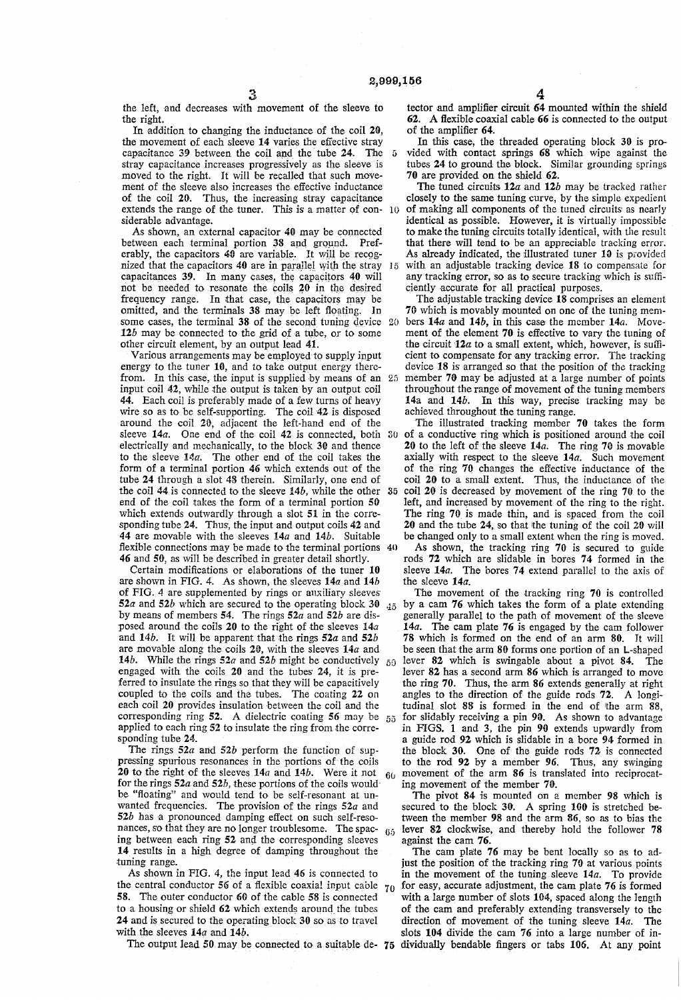3

the left, and decreases with movement of the sleeve to the right.

In addition to changing the inductance of the coil 20, the movement of each sleeve 14 varies the efiective stray capacitance 39 between the coil and the'tube 24. The stray capacitance increases progressively as the sleeve is moved to the right. It will be recalled that such move ment of the sleeve also increases the effective inductance of the coil 20. Thus, the increasing stray capacitance extends the range of the tuner. This is a matter of con-10 siderable advantage.  $\sqrt{5}$ 

As shown, an external capacitor 40 may be connected between each terminal portion 38 and ground. Pref erably, the capacitors 40 are variable. It will be recognized that the capacitors 40 are in parallel with the stray  $15$ capacitances 39. In many cases, the capacitors 40 will not be needed to resonate the coils 20 in the desired frequency range. In that case, the capacitors may be omitted, and the terminals 38 may be left floating. In some cases, the terminal  $38$  of the second tuning device  $20$  $12b$  may be connected to the grid of a tube, or to some other circuit element, by an output lead 41.

Various arrangements may be employed to supply input energy to the tuner 10, and to take output energy thereinput coil 42, while the output is taken by an output coil 44. Each coil is preferably made of a few turns of heavy wire so as to be self-supporting. The coil 42 is disposed around the coil 20, adjacent the left-hand end of the sleeve 14a. One end of the coil 42 is connected, both 30 electrically and mechanically, to the block 30 and thence to the sleeve 14a. The other end of the coil takes the form of a terminal portion 46 which extends out of the tube 24 through a slot 48 therein. Similarly, one end of the coil 44 is connected to the sleeve l4b, while the other end of the coil takes the form of a terminal portion S0 which extends outwardly through a slot 51 in the corresponding tube 24. Thus, the input and output coils 42 and 44 are movable with the sleeves 14a and 14b. Suitable flexible connections may be made to the terminal portions 40 46 and 50, as will be described in greater detail shortly. 35

Certain modifications or elaborations of the tuner 10 are shown in FIG. 4. As shown, the sleeves 14a and 14b of FIG. 4 are supplemented by rings or auxiliary sleeves' by means of members 54. The rings  $52a$  and  $52b$  are disposed around the coils 20 to the right of the sleeves  $14a$  and  $14b$ . It will be apparent that the rings  $52a$  and  $52b$ are movable along the coils 20, with the sleeves  $14a$  and 14b. While the rings 52a and 52b might be conductively  $_{50}$ engaged with the coils 20 and the tubes 24, it is preferred to insulate the rings so that they will be capacitively coupled to the coils and the tubes. The coating 22 on each coil 20 provides insulation between the coil and the corresponding ring 52. A dielectric coating 56 may be  $55$ applied to each ring 52 to insulate the ring from the corresponding tube 24.

The rings  $52a$  and  $52b$  perform the function of suppressing spurious resonances in the portions of the coils 20 to the right of the sleeves  $14a$  and  $14b$ . Were it not  $60$ for the rings  $52a$  and  $52b$ , these portions of the coils would be "floating" and would tend to be self-resonant at un wanted frequencies. The provision of the rings  $52a$  and  $52b$  has a pronounced damping effect on such self-resonances, so that they are no longer troublesome. The spac (35 ing between each ring 52 and the corresponding sleeves 14 results in a high degree of damping throughout the tuning range.

As shown in FIG. 4, the input lead 46 is connected to the central conductor 56 of a flexible coaxial input cable  $70$ 58. The outer conductor 60 of the cable 58 is connected to a housing or shield 62 which extends around the tubes 24 and is secured to the operating block 30 so as to travel with the sleeves 14a and 14b.

tector and amplifier circuit 64 mounted within the shield 62. A ñexible coaxial cable 66 is connected to the output of the amplifier 64.

In this case, the threaded operating block 30 is pro vided with contact springs 68 which wipe against the tubes 24 to ground the block. Similar grounding springs 70 are provided on the shield 62.

The tuned circuits  $12a$  and  $12b$  may be tracked rather closely to the same tuning curve, by the simple expedient of making all components of the tuned circuits as nearly identical as possible. However, it is virtually impossible to make the tuning circuits totally identical, with the result that there will tend to be an appreciable tracking error. As already indicated, the illustrated tuner 10 is provided with an adjustable tracking device 18 to compensate for any tracking error, so as to secure tracking which is sulfi ciently accurate for all practical purposes.

from. In this case, the input is supplied by means of an 25 member 70 may be adjusted at a large number of points The adjustable tracking device 18 comprises an element 70 which is movably mounted on one of the tuning mem bers 14a and 14b, in this case the member 14a. Move ment of the element 70 is effective to vary the tuning of the circuit  $12a$  to a small extent, which, however, is sufficient to compensate for any tracking error. The tracking device 18 is arranged so that the position of the tracking throughout the range of movement of the tuning members 14a and 14b. In this way, precise tracking may be achieved throughout the tuning range.

The illustrated tracking member 70 takes the form of a conductive ring which is positioned around the coil 20 to the left of the sleeve 14a. The ring 70 is movable axially with respect to the sleeve 14a. Such movement of the ring 7G changes the effective inductance of the coil 20 to a small extent. Thus, the inductance of the coil 20 is decreased by movement of the ring 70 to the left, and increased by movement of the ring to the right. The ring 70 is made thin, and is spaced from the coil 20 and the tube 24, so that the tuning of the coil 20 will be changed only to a small extent when the ring is moved.

As shown, the tracking ring 70 is secured to guide rods 72 which are slidable in bores 74 formed in the sleeve 14a. The bores 74 extend parallel to the axis of the sleeve 14a.

52a and 52b which are secured to the operating block 30  $_{45}$  by a cam 76 which takes the form of a plate extending The movement of the tracking ring 70 is controlled generally parallel to the path of movement of the sleeve 14a. The cam plate 76 is engaged by the cam follower 78 Which is formed on the end of an arm 80. lt will be seen that the arm 80 forms one portion of an L-shaped lever 82 which is swingable about a pivot 84. The lever 82 has a second arm 86 which is arranged to move the ring 70. Thus, the arm 86 extends generally at right angles to the direction of the guide rods 72. A longitudinal slot 88 is formed in the end of 'the arm 88, for slidably receiving a pin 90. As shown to advantage in FIGS. 1 and 3, the pin 90 extends upwardly from a guide rod 92 which is slidable in a bore 94 formed in the block 30. One of the guide rods 72 is connected to the rod 92 by a member 96. Thus, any swinging movement of the arm 86 is translated into reciprocat ing movement of the member 70.

The pivot 84 is mounted on a member 98 which is secured to the block 30. A spring 100 is stretched between the member 98 and the arm 86, so as to bias the lever 82 clockwise, and thereby hold the follower 78 against the cam 76.

The output lead 50 may be connected to a suitable de 75 dìvidually bendable fingers or tabs 106. At any point The cam plate 76 may be bent locally so as to adjust the position of the tracking ring 70 at various points in the movement of the tuning sleeve  $14a$ . To provide for easy, accurate adjustment, the cam plate 76 is formed with a large number of slots 104, spaced along the length of the cam and preferably extending transversely to the direction of movement of the tuning sleeve 14a. The slots 104 divide the cam 76 into a large number of in

4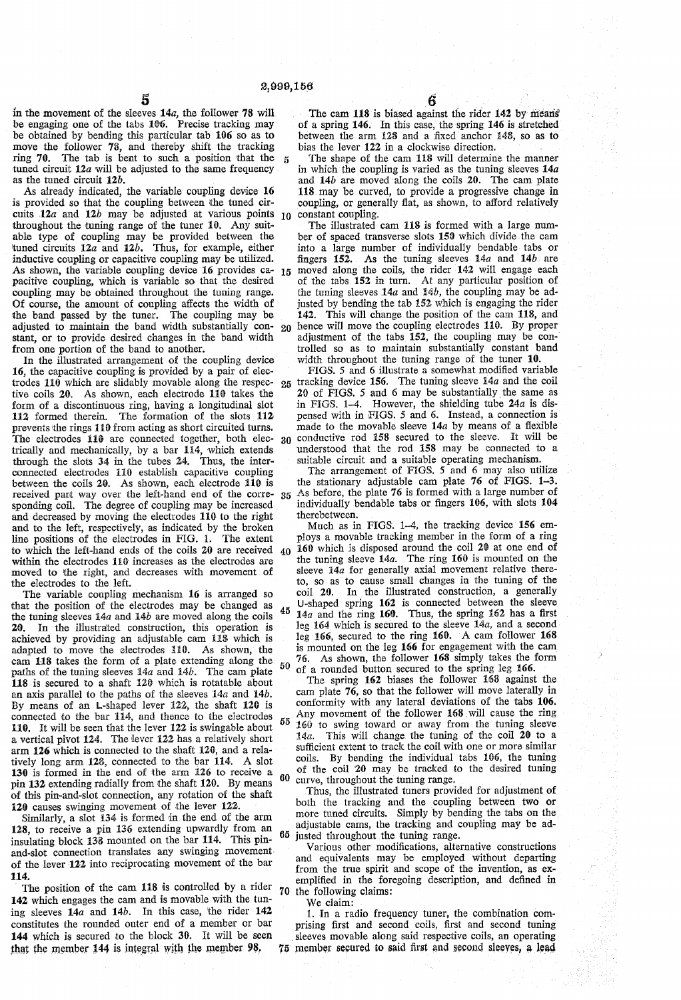$\bf 5$ 

in the movement of the sleeves  $14a$ , the follower 78 will be engaging one of the tabs 186. Precise tracking may be obtained by bending this particular tab 106 so as to move the follower 78, and thereby shift the tracking ring 70. The tab is bent to such a position that the tuned circuit  $12a$  will be adjusted to the same frequency as the tuned circuit 12b.

As already indicated, the variable coupling device 16 is provided so that the coupling between ithe tuned cir cuits  $12a$  and  $12b$  may be adjusted at various points 10 throughout the tuning range of the tuner 10. Any suitable type of coupling may be provided between the tuned circuits  $12a$  and  $12b$ . Thus, for example, either inductive coupling or capacitive coupling may be utilized.<br>As shown, the variable coupling device 16 provides capacitive coupling, which is variable so that the desired coupling may be obtained throughout the tuning range. Of course, the amount of coupling affects the Width of the band passed by the tuner. The coupling may be adjusted to maintain the band Width substantially con stant, or to provide desired changes in the band width from one portion of the band to another.

In the illustrated arrangement of the coupling device 16, the capacitive coupling is provided by a pair of elec trodes 110 which are slidably movable along the respec tive coils 20. As shown, each electrode 110 takes the form of a discontinuous ring, having a longitudinal slot 112 formed therein. The formation of the slots 112 prevents the rings 110 from acting as short circuited turns. The electrodes 110 are connected together, both electrically and mechanically, by a bar 114, which extends through the slots 34 in the tubes 24. Thus, the interconnected electrodes 118 establish capacitive coupling between the coils 20. As shown, each electrode 110 is received part way over the left-hand end of the corresponding coil. The degree of coupling may be increased and decreased by moving the electrodes 118 to the right and to the left, respectively, as indicated by the broken line positions of the electrodes in FIG. l. The extent to which the left-hand ends of the coils 20 are received within the electrodes 110 increases as the electrodes are moved to the right, and decreases with movement of the electrodes to the left.<br>The variable coupling mechanism 16 is arranged so

that the position of the electrodes may be changed as the tuning sleeves  $14a$  and  $14b$  are moved along the coils 20. In the illustrated construction, this operation is achieved by providing an adjustable cam 118 which is adapted to move the electrodes 110. As shown, the cam 118 takes the form of a plate extending along the paths of the tuning sleeves  $14a$  and  $14b$ . The cam plate 11S is secured 'to a shaft 126 which is rotatable about an axis parallel to the paths of the sleeves  $14a$  and  $14b$ . By means of an L-shaped lever 122, the shaft 120 is connected to the bar 114, and thence to the electrodes 110. It will be seen that the lever 122 is swingable about a vertical pivot 124. The lever 122 has a relatively short arm 126 which is connected to the shaft 120, and a rela tively long arm 128, connected to the bar 114. A slot 130 is formed in the end of the arm 126 to receive a pin 132 extending radially from the shaft 120. By means of this pin-and-slot connection, any rotation of the shaft 120 causes swinging movement of the lever 122.

Similarly, a slot 134 is formed in the end of the arm 128, to receive a pin 136 extending upwardly from an insulating block 138 mounted on the bar 114. This pin and-slot connection translates any swinging movement of the lever 122 into reciprocating movement of the bar 114.

The position of the cam 118 is controlled by a rider 142 which engages the cam and is movable with the tun ing sleeves  $14a$  and  $14b$ . In this case, the rider  $142$ constitutes the rounded outer end of a member or bar 144 which is secured to the block 30. It will be seen that the member  $144$  is integral with the member  $98$ ,

 $\frac{6}{118}$  is biased against the rider 142 by means of a spring 146. In this case, the spring 146 is stretched between the arm 128 and a fixed anchor 148, so as to bias the lever 122 in a clockwise direction.

The shape of the cam 11S will determine the manner in which the coupling is varied as the tuning sleeves  $14a$ and 14b are moved along the coils 20. The cam plate 118 may be curved, to provide a progressive change in coupling, or generally flat, as shown, to afford relatively constant coupling.

15 20 The illustrated cam 118 is formed with a large number of spaced transverse slots 159 which divide the cam into a large number of individually bendable tabs or fingers 152. As the tuning sleeves 14a and 14b are moved along the coils, the rider 142 will engage each of the tabs 152 in turn. At any particular position of the tuning sleeves  $14a$  and  $14b$ , the coupling may be adjusted by bending the tab 152 which is engaging the rider 142. This will change the position of the cam 118, and hence will move the coupling electrodes 116. By proper adjustment of the tabs 152, the coupling may be controlled so as to maintain substantially constant band width throughout the tuning range of the tuner 10.

25 30 FIGS. 5 and 6 illustrate a somewhat modified variable tracking device 156. The tuning sleeve 14a and the coil 20 of FIGS. 5 and 6 may be substantially the same as in FIGS. 1-4. However, the shielding tube 24a is dis pensed with in FIGS. 5 and 6. Instead, a connection is made to the movable sleeve  $14a$  by means of a flexible conductive rod 158 secured to the sleeve. It will be understood that the rod 158 may be connected to a suitable circuit and a suitable operating mechanism.

35 The arrangement of FIGS. 5 and 6 may also utilize the stationary adjustable cam plate 76 of FIGS. 1-3. As before, the plate 76 is formed with a large number of individually bendable tabs or fingers 166, with slots 104 therebetween.

40 45 50 Much as in FIGS. 1-4, the tracking device 156 employs a movable tracking member in the form of a ring 166 which is disposed around the coil 26 at one end of the tuning sleeve 14a. The ring 160 is mounted on the sleeve  $14a$  for generally axial movement relative thereto, so as to cause small changes in the tuning of the coil 20. In the illustrated construction, a generally U-shaped spring 162 is connected between the sleeve  $14a$  and the ring 160. Thus, the spring 162 has a first leg 164 which is secured to the sleeve 14a, and a second leg 166, secured to the ring 160. A cam follower 168 is mounted on the leg 166 for engagement with the cam 76. As shown, the follower 168 simply takes the form

55 60 of a rounded button secured to the spring leg 166.<br>The spring 162 biases the follower 168 against the cam plate  $76$ , so that the follower will move laterally in conformity with any lateral deviations of the tabs 106. Any movement of the follower 168 will cause the ring 16@ to swing toward or away from the tuning sleeve 14a. This will change the tuning of the coil 20 to a sufficient extent to track the coil with one or more similar coils. By bending the individual tabs 166, the tuning of the coil '20 may be tracked to the desired tuning curve, throughout the tuning range.

65 justed throughout the tuning range. Thus, the illustrated tuners provided for adjustment of both the tracking and the coupling between two or more timed circuits. Simply by bending the tabs on the adjustable cams, the tracking and coupling may be ad-

70 the following claims: Various other modifications, alternative constructions and equivalents may be employed without departing from the true spirit and scope of the invention, as exemplified in the foregoing description, and defined in

We claim:

75 member secured to said ñrst and ,second sleeves, a lead l. In a radio frequency tuner, the combination com~ prising first and second coils, first and second tuning sleeves movable along said respective coils, an operating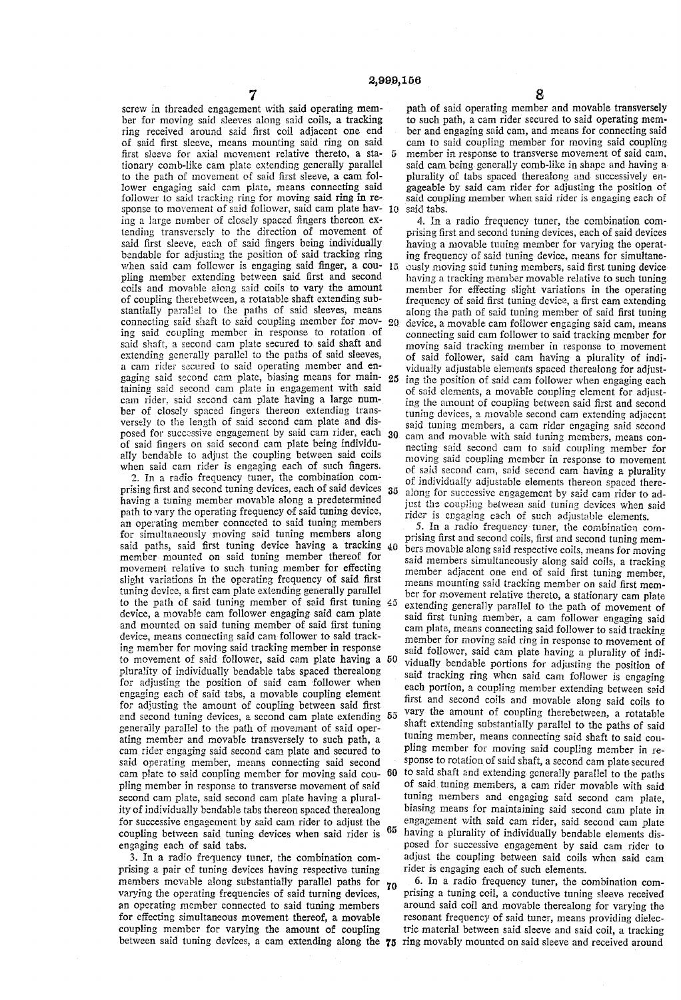7 screw in threaded engagement with said operating mem ber for moving said sleeves along said coils, a tracking ring received around said ñrst coil adjacent one end of said ñrst sleeve, means mounting said ring on said first sleeve for axial movement relative thereto, a sta tionary comb-like cam plate extending generally parallel to the path of movement of said first sleeve, a cam fol lower engaging said cam plate, means connecting said follower to said tracking ring for moving said ring in re sponse to movement of said follower, said cam plate having a large number of closely spaced fingers thereon ex- $70$ tending transversely to the direction of movement of said ñrst sleeve, each of said fingers being individually bendable for adjusting the position of said tracking ring when said cam follower is engaging said ñnger, a cou  $15$ pling member extending between said first and second coils and movable along said coils to vary the amount of coupling therebetween, a rotatable shaft extending sub-<br>stantially parallel to the paths of said sleeves, means connecting said shaft to said coupling member for mov- 20 ing said coupling member in response to rotation of said shaft, a second cam plate secured to said shaft and extending generally parallel to the paths of said sleeves, a cam rider secured to said operating member and engaging said second cam plate, biasing means for main 25 taining said second cam plate in engagement with said cam rider, said second cam plate having a large num ber of closely spaced fingers thereon extending trans versely to the length of said second cam plate and dis posed for successive engagement by said cam rider, each 30 of said fingers on said second cam plate being individu ally bendable to adjust the coupling between said coils when said cam rider is engaging each of such fingers.

2. in a radio frequency tuner, the combination com prising first and second tuning devices, each of said devices having a tuning member movable along a predetermined an operating member connected to said tuning members for simultaneously moving said tuning members along said paths, said ñrst tuning device having a tracking 40 member mounted on said tuning member thereof for movement relative to such tuning member for effecting slight variations in the operating frequency of said first tuning device, a first cam plate extending generally parallel to the path of said tuning member of said first tuning device, a movable cam follower engaging said cam plate and mounted on said tuning member of said first tuning device, means connecting said cam follower to said track ing member for moving said tracking member in response to movement of said follower, said cam plate having a 50 plurality of individually bendable tabs spaced therealong for adjusting the position of said cam follower when engaging each of said tabs, a movable coupling element for adjusting the amount of coupling between said first and second tuning devices, a second cam plate extending generally parallel to the path of movement of said oper ating member and movable transversely to such path, a cam rider engaging said second cam plate and secured to said operating member, means connecting said second cam plate to said coupling member for moving said cou pling member in response to transverse movement of said second cam plate, said second cam plate having a plural ity of individually bendable tabs thereon spaced therealong for successive engagement by said cam rider to adjust the<br>counting between said tuning devices when said rider is 65 coupling between said tuning devices when said rider is engaging each of said tabs. 60

3. In a radio frequency tuner, the combination com prising a pair of timing devices having respective tuning members movable along substantially parallel paths for  $\gamma_0$ varying the operating frequencies of said turning devices, an operating member connected to said tuning members for effecting simultaneous movement thereof, a movable coupling member for varying the amount of coupling

plurality of tabs spaced therealong and successively engageable by said cam rider for adjusting the position of said coupling member when said rider is engaging each of said tabs,

4. ln a radio frequency tuner, the combination com prising first and second tuning devices, each of said devices having a movable tuning member for varying the operating frequency of said tuning device, means for simultane ously moving said tuning members, said first tuning device having a tracking member movable relative to such tuning member for effecting slight variations in the operating frequency of said ñrst tuning device, a first cam extending along the path of said tuning member of said first tuning device, a movable cam follower engaging said cam, means connecting said cam follower to said tracking member for moving said tracking member in response to movement of said follower, said cam having a plurality of indi vidually adjustable elements spaced therealong for adjust ing the position of said cam follower when engaging each of said elements, a movable coupling element for adjust ing the amount of coupling between said first and second tuning devices, a movable second cam extending adjacent said tuning members, a cam rider engaging said second cam and movable with said tuning members, means con necting said second cam to said coupling member for moving said coupling member in response to movement of said second cam, said second cam having a plurality of individually adjustable elements thereon spaced there along for successive engagement by said cam rider to adjust the coupling between said tuning devices when said rider is engaging each of such adjustable elements.

5. In a radio frequency tuner, the combination com prising first and second coils, ñrst and second tuning mem bers movable along said respective coils, means for moving said members simultaneously along said coils, a tracking member adjacent one end of said first tuning member, means mounting said tracking member on said first mem ber for movement relative thereto, a stationary cam plate extending generally parallel to the path of movement of said first tuning member, a cam follower engaging said cam plate, means connecting said follower to said tracking member for moving said ring in response to movement of said follower, said cam plate having a plurality of indi vidually bendable portions for adjusting the position of said tracking ring when said cam follower is engaging each portion, a coupling member extending between said first and second coils and movable along said coils to vary the amount of coupling therebetween, a rotatable shaft extending substantially parallel to the paths of said timing member, means connecting said shaft to said cou pling member for moving said coupling member in re sponse to rotation of said shaft, a second cam plate secured to said shaft and extending generally parallel to the paths of said tuning members, a cam rider movable with said tuning members and engaging said second cam plate, biasing means for maintaining said second cam plate in engagement with said cam rider, said second cam plate having a plurality of individually bendable elements dis posed for successive engagement by said cam rider to adjust the coupling between said coils when said cam rider is engaging each of such elements.

between said tuning devices, a cam extending along the 75 ring movably mounted on said sleeve and received around 6. In a radio frequency tuner, the combination com prising a tuning coil, a conductive tuning sleeve received around said coil and movable therealong for varying the resonant frequency of said tuner, means providing dielec tric material between said sleeve and said coil, a tracking